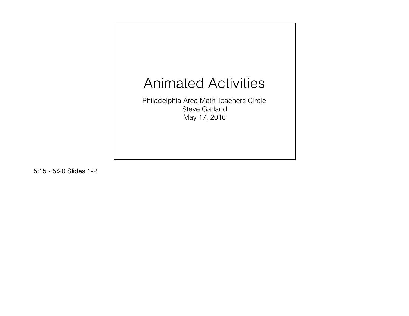

5:15 - 5:20 Slides 1-2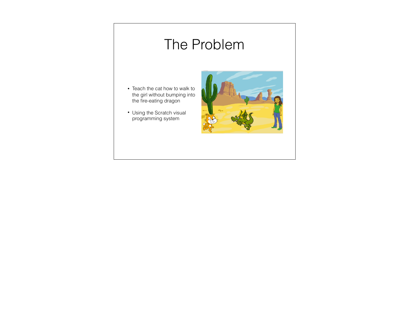# The Problem

- Teach the cat how to walk to the girl without bumping into the fire-eating dragon
- Using the Scratch visual programming system

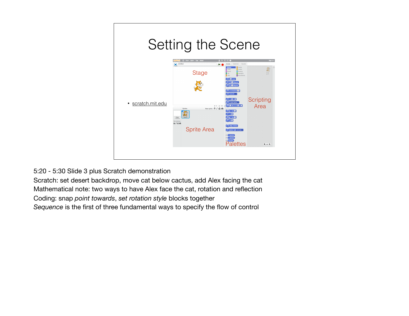

5:20 - 5:30 Slide 3 plus Scratch demonstration

Scratch: set desert backdrop, move cat below cactus, add Alex facing the cat Mathematical note: two ways to have Alex face the cat, rotation and reflection Coding: snap *point towards*, *set rotation style* blocks together *Sequence* is the first of three fundamental ways to specify the flow of control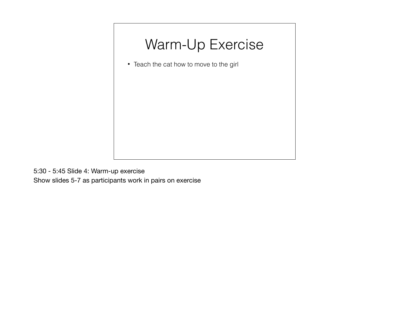# Warm-Up Exercise

• Teach the cat how to move to the girl

5:30 - 5:45 Slide 4: Warm-up exercise

Show slides 5-7 as participants work in pairs on exercise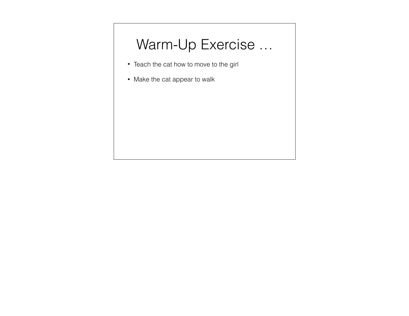# Warm-Up Exercise …

- Teach the cat how to move to the girl
- Make the cat appear to walk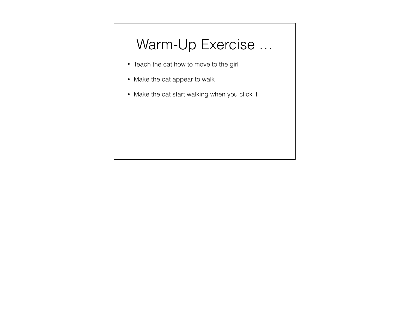# Warm-Up Exercise …

- Teach the cat how to move to the girl
- Make the cat appear to walk
- Make the cat start walking when you click it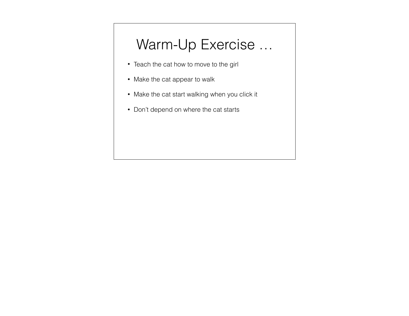# Warm-Up Exercise …

- Teach the cat how to move to the girl
- Make the cat appear to walk
- Make the cat start walking when you click it
- Don't depend on where the cat starts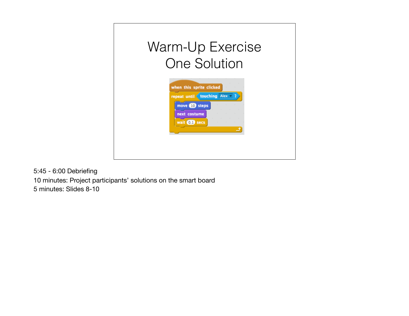

5:45 - 6:00 Debriefing 10 minutes: Project participants' solutions on the smart board 5 minutes: Slides 8-10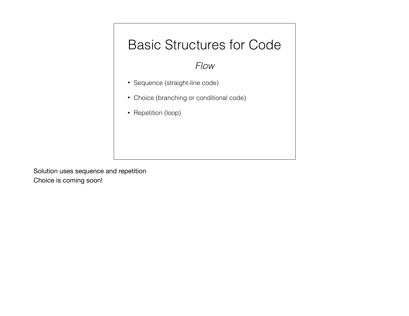### Basic Structures for Code

#### *Flow*

- Sequence (straight-line code)
- Choice (branching or conditional code)
- Repetition (loop)

Solution uses sequence and repetition Choice is coming soon!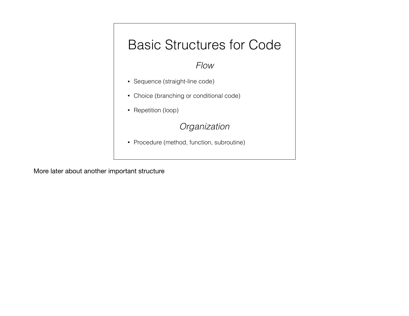

More later about another important structure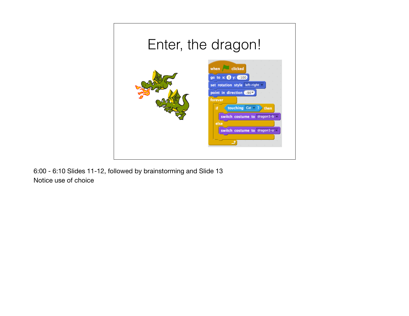

6:00 - 6:10 Slides 11-12, followed by brainstorming and Slide 13 Notice use of choice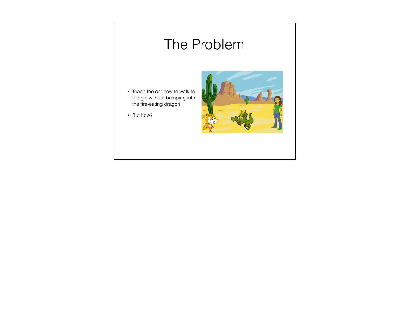# The Problem

- Teach the cat how to walk to the girl without bumping into the fire-eating dragon
- But how?

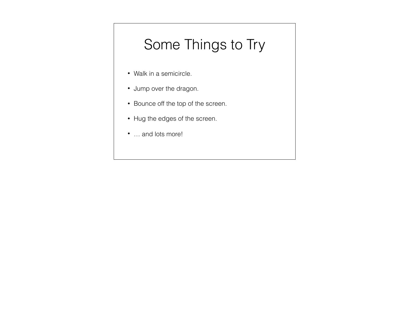# Some Things to Try

- Walk in a semicircle.
- Jump over the dragon.
- Bounce off the top of the screen.
- Hug the edges of the screen.
- ... and lots more!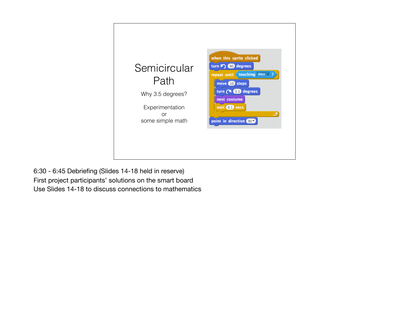

6:30 - 6:45 Debriefing (Slides 14-18 held in reserve) First project participants' solutions on the smart board Use Slides 14-18 to discuss connections to mathematics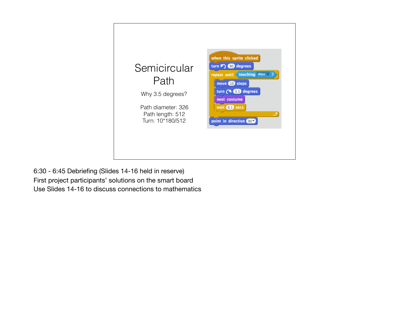

6:30 - 6:45 Debriefing (Slides 14-16 held in reserve) First project participants' solutions on the smart board Use Slides 14-16 to discuss connections to mathematics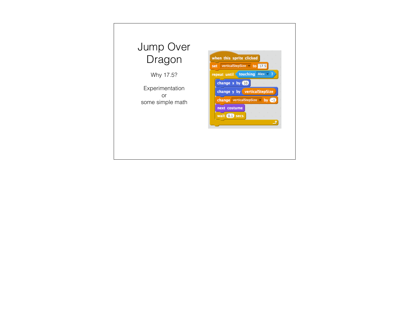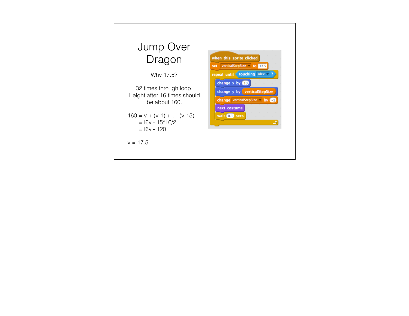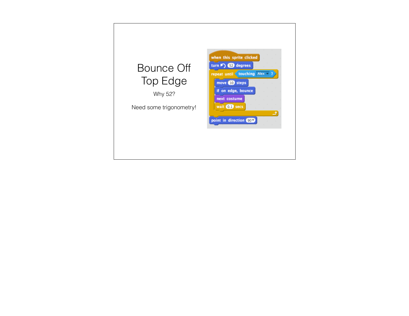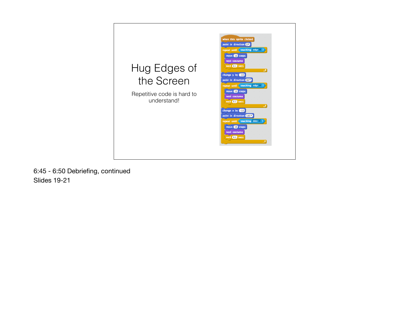

6:45 - 6:50 Debriefing, continued Slides 19-21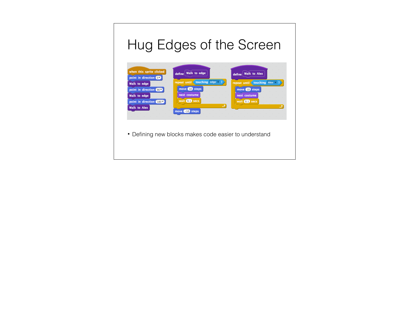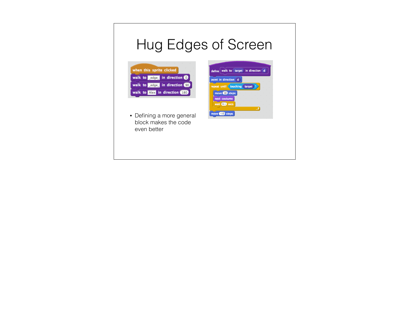# Hug Edges of Screen



• Defining a more general block makes the code even better

| point in direction d         |  |   |  |
|------------------------------|--|---|--|
| repeat until touching target |  | 7 |  |
| move <b>10</b> steps         |  |   |  |
| next costume                 |  |   |  |
|                              |  |   |  |
| wait 0.1 secs                |  |   |  |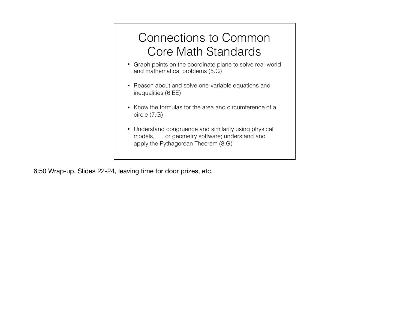### Connections to Common Core Math Standards

- Graph points on the coordinate plane to solve real-world and mathematical problems (5.G)
- Reason about and solve one-variable equations and inequalities (6.EE)
- Know the formulas for the area and circumference of a circle (7.G)
- Understand congruence and similarity using physical models, …, or geometry software; understand and apply the Pythagorean Theorem (8.G)

6:50 Wrap-up, Slides 22-24, leaving time for door prizes, etc.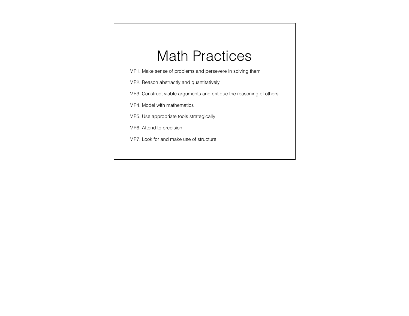